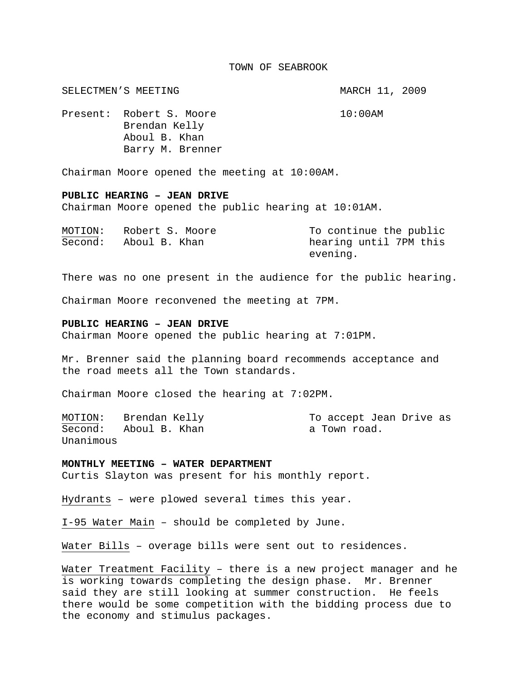#### TOWN OF SEABROOK

SELECTMEN'S MEETING **MARCH 11, 2009** Present: Robert S. Moore 10:00AM Brendan Kelly Aboul B. Khan Barry M. Brenner

Chairman Moore opened the meeting at 10:00AM.

### **PUBLIC HEARING – JEAN DRIVE**

Chairman Moore opened the public hearing at 10:01AM.

| MOTION: | Robert S. Moore | To continue the public |
|---------|-----------------|------------------------|
| Second: | Aboul B. Khan   | hearing until 7PM this |
|         |                 | evening.               |

There was no one present in the audience for the public hearing.

Chairman Moore reconvened the meeting at 7PM.

### **PUBLIC HEARING – JEAN DRIVE**

Chairman Moore opened the public hearing at 7:01PM.

Mr. Brenner said the planning board recommends acceptance and the road meets all the Town standards.

Chairman Moore closed the hearing at 7:02PM.

Second: Aboul B. Khan a Town road. Unanimous

MOTION: Brendan Kelly To accept Jean Drive as

#### **MONTHLY MEETING – WATER DEPARTMENT**

Curtis Slayton was present for his monthly report.

Hydrants – were plowed several times this year.

I-95 Water Main – should be completed by June.

Water Bills - overage bills were sent out to residences.

Water Treatment Facility – there is a new project manager and he is working towards completing the design phase. Mr. Brenner said they are still looking at summer construction. He feels there would be some competition with the bidding process due to the economy and stimulus packages.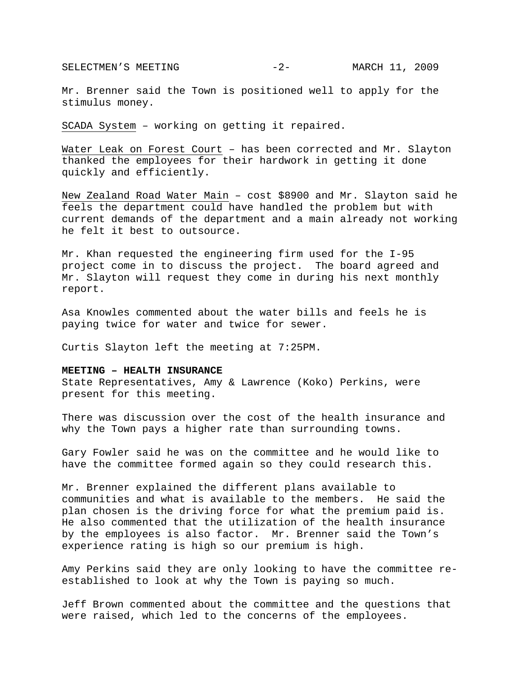SELECTMEN'S MEETING  $-2-$  MARCH 11, 2009

Mr. Brenner said the Town is positioned well to apply for the stimulus money.

SCADA System – working on getting it repaired.

Water Leak on Forest Court – has been corrected and Mr. Slayton thanked the employees for their hardwork in getting it done quickly and efficiently.

New Zealand Road Water Main – cost \$8900 and Mr. Slayton said he feels the department could have handled the problem but with current demands of the department and a main already not working he felt it best to outsource.

Mr. Khan requested the engineering firm used for the I-95 project come in to discuss the project. The board agreed and Mr. Slayton will request they come in during his next monthly report.

Asa Knowles commented about the water bills and feels he is paying twice for water and twice for sewer.

Curtis Slayton left the meeting at 7:25PM.

# **MEETING – HEALTH INSURANCE**

State Representatives, Amy & Lawrence (Koko) Perkins, were present for this meeting.

There was discussion over the cost of the health insurance and why the Town pays a higher rate than surrounding towns.

Gary Fowler said he was on the committee and he would like to have the committee formed again so they could research this.

Mr. Brenner explained the different plans available to communities and what is available to the members. He said the plan chosen is the driving force for what the premium paid is. He also commented that the utilization of the health insurance by the employees is also factor. Mr. Brenner said the Town's experience rating is high so our premium is high.

Amy Perkins said they are only looking to have the committee reestablished to look at why the Town is paying so much.

Jeff Brown commented about the committee and the questions that were raised, which led to the concerns of the employees.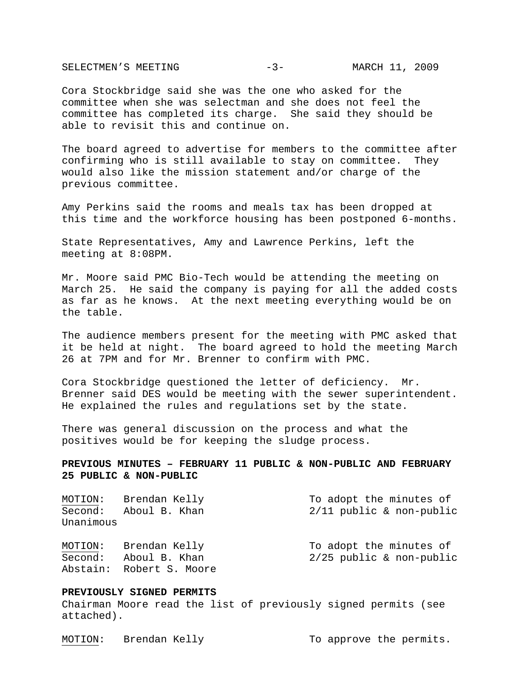SELECTMEN'S MEETING  $-3$ - MARCH 11, 2009

Cora Stockbridge said she was the one who asked for the committee when she was selectman and she does not feel the committee has completed its charge. She said they should be able to revisit this and continue on.

The board agreed to advertise for members to the committee after confirming who is still available to stay on committee. They would also like the mission statement and/or charge of the previous committee.

Amy Perkins said the rooms and meals tax has been dropped at this time and the workforce housing has been postponed 6-months.

State Representatives, Amy and Lawrence Perkins, left the meeting at 8:08PM.

Mr. Moore said PMC Bio-Tech would be attending the meeting on March 25. He said the company is paying for all the added costs as far as he knows. At the next meeting everything would be on the table.

The audience members present for the meeting with PMC asked that it be held at night. The board agreed to hold the meeting March 26 at 7PM and for Mr. Brenner to confirm with PMC.

Cora Stockbridge questioned the letter of deficiency. Mr. Brenner said DES would be meeting with the sewer superintendent. He explained the rules and regulations set by the state.

There was general discussion on the process and what the positives would be for keeping the sludge process.

# **PREVIOUS MINUTES – FEBRUARY 11 PUBLIC & NON-PUBLIC AND FEBRUARY 25 PUBLIC & NON-PUBLIC**

| MOTION:   | Brendan Kelly | To adopt the minutes of    |
|-----------|---------------|----------------------------|
| Second:   | Aboul B. Khan | $2/11$ public & non-public |
| Unanimous |               |                            |
| MOTION:   | Brendan Kelly | To adopt the minutes of    |
| Second:   | Aboul B. Khan | $2/25$ public & non-public |

## **PREVIOUSLY SIGNED PERMITS**

Abstain: Robert S. Moore

Chairman Moore read the list of previously signed permits (see attached).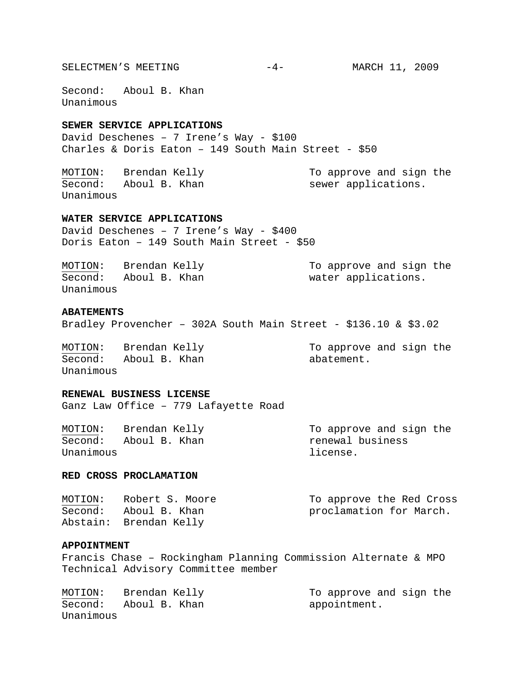SELECTMEN'S MEETING  $-4-$  MARCH 11, 2009

Second: Aboul B. Khan Unanimous

# **SEWER SERVICE APPLICATIONS**

David Deschenes – 7 Irene's Way - \$100 Charles & Doris Eaton – 149 South Main Street - \$50

MOTION: Brendan Kelly To approve and sign the Second: Aboul B. Khan sewer applications. Unanimous

## **WATER SERVICE APPLICATIONS**

David Deschenes – 7 Irene's Way - \$400 Doris Eaton – 149 South Main Street - \$50

| MOTION:   | Brendan Kelly | To approve and sign the |
|-----------|---------------|-------------------------|
| Second:   | Aboul B. Khan | water applications.     |
| Unanimous |               |                         |

# **ABATEMENTS**

Bradley Provencher – 302A South Main Street - \$136.10 & \$3.02

Second: Aboul B. Khan abatement. Unanimous

MOTION: Brendan Kelly To approve and sign the

### **RENEWAL BUSINESS LICENSE**

Ganz Law Office – 779 Lafayette Road

MOTION: Brendan Kelly To approve and sign the Second: Aboul B. Khan menewal business Unanimous and the contract of the license.

#### **RED CROSS PROCLAMATION**

| MOTION: | Robert S. Moore        | To approve the Red Cross |
|---------|------------------------|--------------------------|
| Second: | Aboul B. Khan          | proclamation for March.  |
|         | Abstain: Brendan Kelly |                          |

### **APPOINTMENT**

Francis Chase – Rockingham Planning Commission Alternate & MPO Technical Advisory Committee member

MOTION: Brendan Kelly To approve and sign the Second: Aboul B. Khan appointment. Unanimous